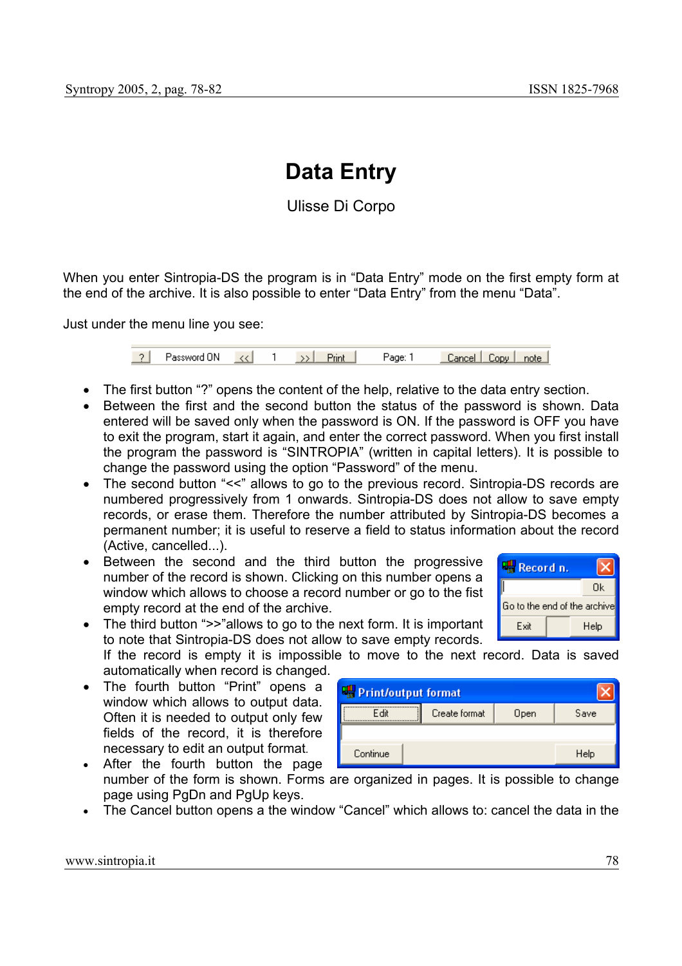# **Data Entry**

Ulisse Di Corpo

When you enter Sintropia-DS the program is in "Data Entry" mode on the first empty form at the end of the archive. It is also possible to enter "Data Entry" from the menu "Data".

Just under the menu line you see:

| - 21 | Password UN |  |  | <b>TIN</b> | 'аαе: | Cancel   Copy | note |
|------|-------------|--|--|------------|-------|---------------|------|
|------|-------------|--|--|------------|-------|---------------|------|

- The first button "?" opens the content of the help, relative to the data entry section.
- Between the first and the second button the status of the password is shown. Data entered will be saved only when the password is ON. If the password is OFF you have to exit the program, start it again, and enter the correct password. When you first install the program the password is "SINTROPIA" (written in capital letters). It is possible to change the password using the option "Password" of the menu.
- The second button "<<" allows to go to the previous record. Sintropia-DS records are numbered progressively from 1 onwards. Sintropia-DS does not allow to save empty records, or erase them. Therefore the number attributed by Sintropia-DS becomes a permanent number; it is useful to reserve a field to status information about the record (Active, cancelled...).
- Between the second and the third button the progressive number of the record is shown. Clicking on this number opens a window which allows to choose a record number or go to the fist empty record at the end of the archive.



• The third button ">>"allows to go to the next form. It is important to note that Sintropia-DS does not allow to save empty records.

If the record is empty it is impossible to move to the next record. Data is saved automatically when record is changed.

• The fourth button "Print" opens a window which allows to output data. Often it is needed to output only few fields of the record, it is therefore necessary to edit an output format*.*

| <b>Print/output format</b> |               |      |      |  |  |  |  |
|----------------------------|---------------|------|------|--|--|--|--|
| Fdit                       | Create format | Open | Save |  |  |  |  |
|                            |               |      |      |  |  |  |  |
| Continue                   |               |      | Help |  |  |  |  |

- After the fourth button the page number of the form is shown. Forms are organized in pages. It is possible to change page using PgDn and PgUp keys.
- The Cancel button opens a the window "Cancel" which allows to: cancel the data in the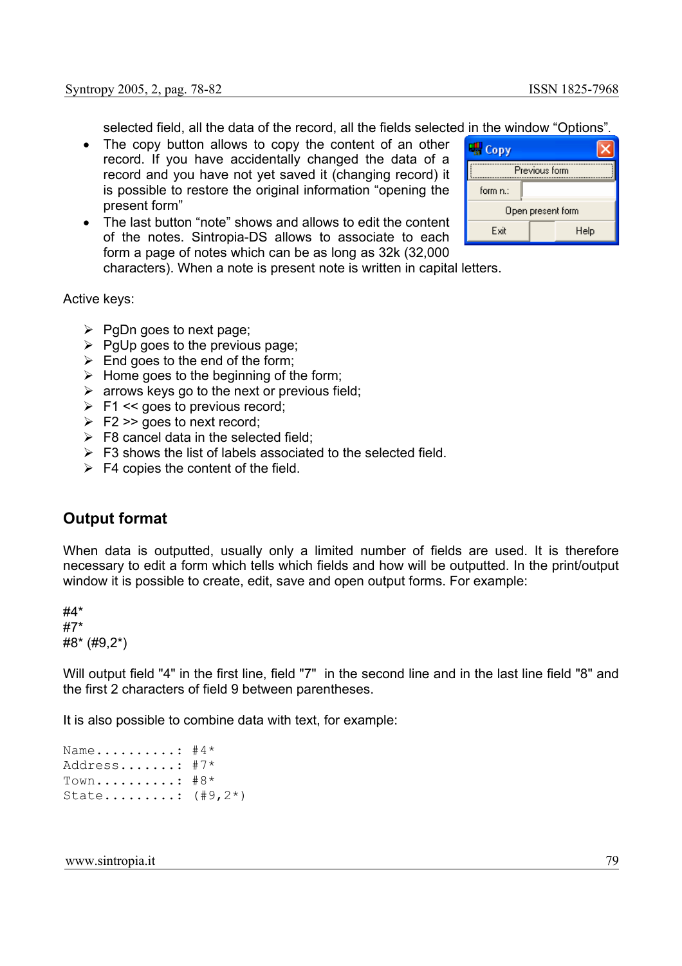selected field, all the data of the record, all the fields selected in the window "Options"*.* 

- The copy button allows to copy the content of an other record. If you have accidentally changed the data of a record and you have not yet saved it (changing record) it is possible to restore the original information "opening the present form"
- The last button "note" shows and allows to edit the content of the notes. Sintropia-DS allows to associate to each form a page of notes which can be as long as 32k (32,000



characters). When a note is present note is written in capital letters.

Active keys:

- $\triangleright$  PgDn goes to next page;
- $\triangleright$  PgUp goes to the previous page;
- $\triangleright$  End goes to the end of the form;
- $\triangleright$  Home goes to the beginning of the form:
- $\triangleright$  arrows keys go to the next or previous field;
- $\triangleright$  F1 << goes to previous record;
- $\triangleright$  F2 >> goes to next record:
- $\triangleright$  F8 cancel data in the selected field:
- $\triangleright$  F3 shows the list of labels associated to the selected field.
- $\triangleright$  F4 copies the content of the field.

#### **Output format**

When data is outputted, usually only a limited number of fields are used. It is therefore necessary to edit a form which tells which fields and how will be outputted. In the print/output window it is possible to create, edit, save and open output forms. For example:

#4\* #7\* #8\* (#9,2\*)

Will output field "4" in the first line, field "7" in the second line and in the last line field "8" and the first 2 characters of field 9 between parentheses.

It is also possible to combine data with text, for example:

```
Name..........: #4* 
Address.......: #7* 
Town.........: #8*State.........: (#9,2*)
```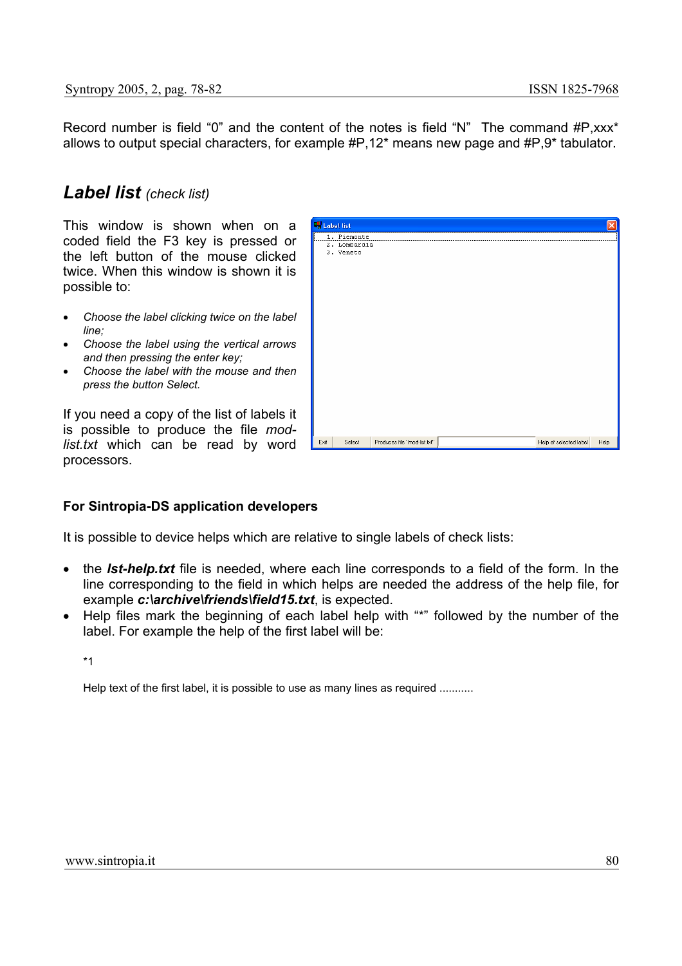$\overline{\phantom{a}}$ 

Record number is field "0" and the content of the notes is field "N" The command #P,xxx\* allows to output special characters, for example #P,12\* means new page and #P,9\* tabulator.

## *Label list (check list)*

This window is shown when on a coded field the F3 key is pressed or the left button of the mouse clicked twice. When this window is shown it is possible to:

- *Choose the label clicking twice on the label line;*
- *Choose the label using the vertical arrows and then pressing the enter key;*
- *Choose the label with the mouse and then press the button Select.*

If you need a copy of the list of labels it is possible to produce the file *modlist.txt* which can be read by word processors.

|  |  | For Sintropia-DS application developers |  |
|--|--|-----------------------------------------|--|
|  |  |                                         |  |

It is possible to device helps which are relative to single labels of check lists:

- the *lst-help.txt* file is needed, where each line corresponds to a field of the form. In the line corresponding to the field in which helps are needed the address of the help file, for example *c:\archive\friends\field15.txt*, is expected.
- Help files mark the beginning of each label help with "\*" followed by the number of the label. For example the help of the first label will be:

\*1

Help text of the first label, it is possible to use as many lines as required ..........

| 1. Piemonte<br>2.<br>Lombardia<br>3. Veneto | <b>AS Fanet use</b> |        |                                                        |      |
|---------------------------------------------|---------------------|--------|--------------------------------------------------------|------|
|                                             |                     |        |                                                        |      |
|                                             |                     |        |                                                        |      |
|                                             |                     |        |                                                        |      |
|                                             |                     |        |                                                        |      |
|                                             |                     |        |                                                        |      |
|                                             |                     |        |                                                        |      |
|                                             |                     |        |                                                        |      |
|                                             |                     |        |                                                        |      |
|                                             |                     |        |                                                        |      |
|                                             |                     |        |                                                        |      |
|                                             |                     |        |                                                        |      |
|                                             |                     |        |                                                        |      |
|                                             |                     |        |                                                        |      |
|                                             |                     |        |                                                        |      |
|                                             |                     |        |                                                        |      |
|                                             |                     |        |                                                        |      |
|                                             |                     |        |                                                        |      |
|                                             |                     |        |                                                        |      |
|                                             |                     |        |                                                        |      |
|                                             |                     |        |                                                        |      |
|                                             |                     |        |                                                        |      |
|                                             |                     |        |                                                        |      |
|                                             |                     |        |                                                        |      |
|                                             |                     |        |                                                        |      |
|                                             |                     |        |                                                        |      |
|                                             |                     |        |                                                        |      |
|                                             |                     |        |                                                        |      |
|                                             |                     |        |                                                        |      |
|                                             |                     |        |                                                        |      |
| Exit                                        |                     | Select | Produces file "mod-list.txt"<br>Help of selected label | Help |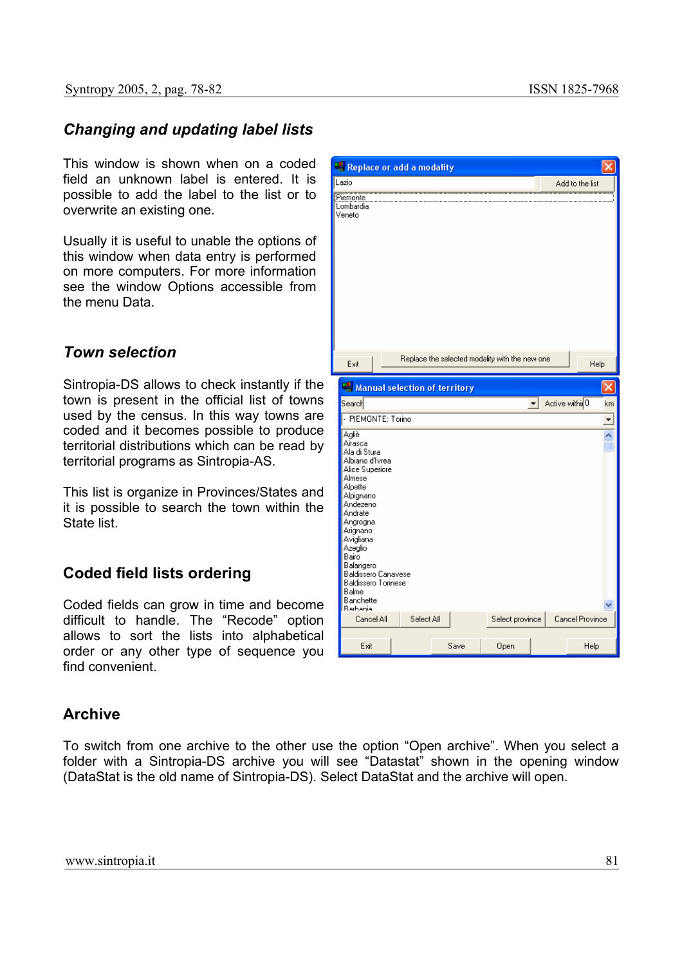## *Changing and updating label lists*

This window is shown when on a coded field an unknown label is entered. It is possible to add the label to the list or to overwrite an existing one.

Usually it is useful to unable the options of this window when data entry is performed on more computers. For more information see the window Options accessible from the menu Data.

#### *Town selection*

Sintropia-DS allows to check instantly if the town is present in the official list of towns used by the census. In this way towns are coded and it becomes possible to produce territorial distributions which can be read by territorial programs as Sintropia-AS.

This list is organize in Provinces/States and it is possible to search the town within the State list.

#### **Coded field lists ordering**

Coded fields can grow in time and become difficult to handle. The "Recode" option allows to sort the lists into alphabetical order or any other type of sequence you find convenient

#### **Archive**

To switch from one archive to the other use the option "Open archive". When you select a folder with a Sintropia-DS archive you will see "Datastat" shown in the opening window (DataStat is the old name of Sintropia-DS). Select DataStat and the archive will open.

| Replace or add a modality                                                                                                                                                                                                                                                 |  |            |      |                                                |                      |                            |                 |                          |
|---------------------------------------------------------------------------------------------------------------------------------------------------------------------------------------------------------------------------------------------------------------------------|--|------------|------|------------------------------------------------|----------------------|----------------------------|-----------------|--------------------------|
| .azio                                                                                                                                                                                                                                                                     |  |            |      |                                                |                      |                            | Add to the list |                          |
| Piemonte<br>ombardia.<br>∕eneto                                                                                                                                                                                                                                           |  |            |      |                                                |                      |                            |                 |                          |
| Exit                                                                                                                                                                                                                                                                      |  |            |      | Replace the selected modality with the new one |                      |                            | Help            |                          |
| Manual selection of territory                                                                                                                                                                                                                                             |  |            |      |                                                |                      |                            |                 |                          |
| Search                                                                                                                                                                                                                                                                    |  |            |      |                                                | $\blacktriangledown$ | Active within <sup>0</sup> |                 | km                       |
| - PIEMONTE: Torino                                                                                                                                                                                                                                                        |  |            |      |                                                |                      |                            |                 | $\overline{ }$           |
| Agliè<br>Airasca<br>Ala di Stura<br>Albiano d'Ivrea<br>Alice Superiore<br>Almese<br>Alpette<br>Alpignano<br>Andezeno<br>Andrate<br>Angrogna<br>Arignano<br>Avigliana<br>Azeglio<br>Bairo<br>Balangero<br>Baldissero Canavese<br>Baldissero Torinese<br>Balme<br>Banchette |  |            |      |                                                |                      |                            |                 | $\overline{\phantom{0}}$ |
| <b>Barbania</b><br>Cancel All                                                                                                                                                                                                                                             |  | Select All |      | Select province                                |                      |                            | Cancel Province |                          |
|                                                                                                                                                                                                                                                                           |  |            |      |                                                |                      |                            |                 |                          |
| Exit                                                                                                                                                                                                                                                                      |  |            | Save | Open                                           |                      |                            | Help            |                          |